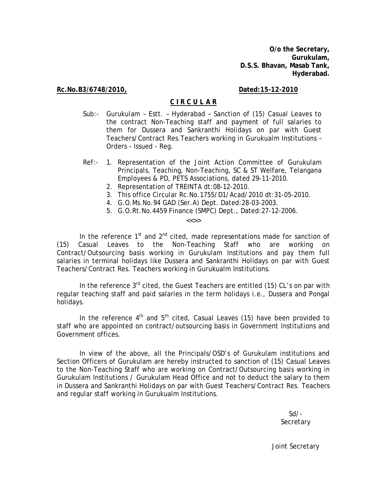**O/o the Secretary, Gurukulam, D.S.S. Bhavan, Masab Tank, Hyderabad.** 

**Rc.No.B3/6748/2010, Dated:15-12-2010**

## **C I R C U L A R**

- Sub:- Gurukulam Estt. Hyderabad Sanction of (15) Casual Leaves to the contract Non-Teaching staff and payment of full salaries to them for Dussera and Sankranthi Holidays on par with Guest Teachers/Contract Res.Teachers working in Gurukualm Institutions – Orders – Issued - Reg.
- Ref:- 1. Representation of the Joint Action Committee of Gurukulam Principals, Teaching, Non-Teaching, SC & ST Welfare, Telangana Employees & PD, PETS Associations, dated 29-11-2010.
	- 2. Representation of TREINTA dt:08-12-2010.
	- 3. This office Circular Rc.No.1755/D1/Acad/2010 dt:31-05-2010.
	- 4. G.O.Ms.No.94 GAD (Ser.A) Dept. Dated:28-03-2003.
	- 5. G.O.Rt.No.4459 Finance (SMPC) Dept., Dated:27-12-2006.

 $<<$ >>

In the reference  $1<sup>st</sup>$  and  $2<sup>nd</sup>$  cited, made representations made for sanction of (15) Casual Leaves to the Non-Teaching Staff who are working on Contract/Outsourcing basis working in Gurukulam Institutions and pay them full salaries in terminal holidays like Dussera and Sankranthi Holidays on par with Guest Teachers/Contract Res. Teachers working in Gurukualm Institutions.

In the reference  $3^{rd}$  cited, the Guest Teachers are entitled (15) CL's on par with regular teaching staff and paid salaries in the term holidays i.e., Dussera and Pongal holidays.

In the reference  $4<sup>th</sup>$  and  $5<sup>th</sup>$  cited, Casual Leaves (15) have been provided to staff who are appointed on contract/outsourcing basis in Government Institutions and Government offices.

In view of the above, all the Principals/OSD's of Gurukulam institutions and Section Officers of Gurukulam are hereby instructed to sanction of (15) Casual Leaves to the Non-Teaching Staff who are working on Contract/Outsourcing basis working in Gurukulam Institutions / Gurukulam Head Office and not to deduct the salary to them in Dussera and Sankranthi Holidays on par with Guest Teachers/Contract Res. Teachers and regular staff working in Gurukualm Institutions.

> Sd/- Secretary

Joint Secretary